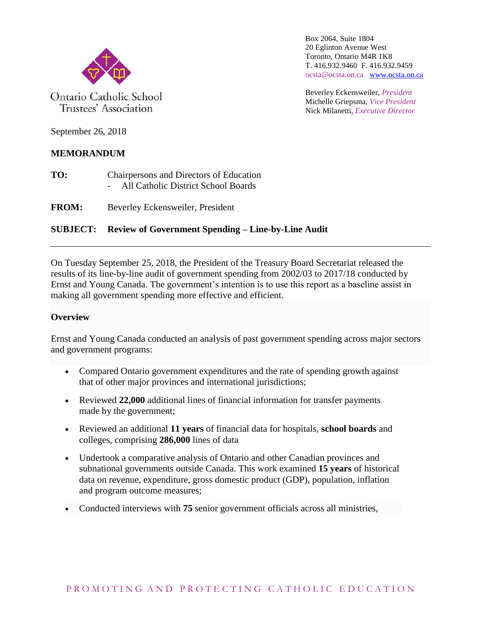

Ontario Catholic School Trustees' Association

Box 2064, Suite 1804 20 Eglinton Avenue West Toronto, Ontario M4R 1K8 T. 416.932.9460 F. 416.932.9459 ocsta@ocsta.on.ca [www.ocsta.on.ca](http://www.ocsta.on.ca/)

Beverley Eckensweiler, *President* Michelle Griepsma, *Vice President* Nick Milanetti, *Executive Director*

September 26, 2018

# **MEMORANDUM**

- **TO:** Chairpersons and Directors of Education - All Catholic District School Boards
- **FROM:** Beverley Eckensweiler, President

# **SUBJECT: Review of Government Spending – Line-by-Line Audit**

On Tuesday September 25, 2018, the President of the Treasury Board Secretariat released the results of its line-by-line audit of government spending from 2002/03 to 2017/18 conducted by Ernst and Young Canada. The government's intention is to use this report as a baseline assist in making all government spending more effective and efficient.

### **Overview**

Ernst and Young Canada conducted an analysis of past government spending across major sectors and government programs:

- Compared Ontario government expenditures and the rate of spending growth against that of other major provinces and international jurisdictions;
- Reviewed **22,000** additional lines of financial information for transfer payments made by the government;
- Reviewed an additional **11 years** of financial data for hospitals, **school boards** and colleges, comprising **286,000** lines of data
- Undertook a comparative analysis of Ontario and other Canadian provinces and subnational governments outside Canada. This work examined **15 years** of historical data on revenue, expenditure, gross domestic product (GDP), population, inflation and program outcome measures;
- Conducted interviews with **75** senior government officials across all ministries,